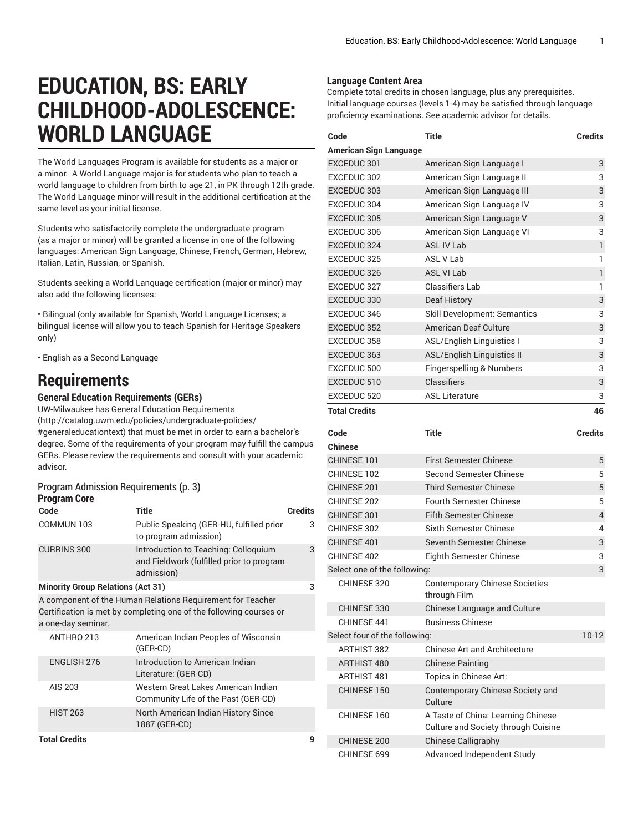# **EDUCATION, BS: EARLY CHILDHOOD-ADOLESCENCE: WORLD LANGUAGE**

The World Languages Program is available for students as a major or a minor. A World Language major is for students who plan to teach a world language to children from birth to age 21, in PK through 12th grade. The World Language minor will result in the additional certification at the same level as your initial license.

Students who satisfactorily complete the undergraduate program (as a major or minor) will be granted a license in one of the following languages: American Sign Language, Chinese, French, German, Hebrew, Italian, Latin, Russian, or Spanish.

Students seeking a World Language certification (major or minor) may also add the following licenses:

• Bilingual (only available for Spanish, World Language Licenses; a bilingual license will allow you to teach Spanish for Heritage Speakers only)

• English as a Second Language

## **Requirements**

**General Education Requirements (GERs)**

UW-Milwaukee has General Education [Requirements](http://catalog.uwm.edu/policies/undergraduate-policies/#generaleducationtext) ([http://catalog.uwm.edu/policies/undergraduate-policies/](http://catalog.uwm.edu/policies/undergraduate-policies/#generaleducationtext) [#generaleducationtext](http://catalog.uwm.edu/policies/undergraduate-policies/#generaleducationtext)) that must be met in order to earn a bachelor's degree. Some of the requirements of your program may fulfill the campus GERs. Please review the requirements and consult with your academic advisor.

#### [ProgramAdmission](#page-2-0) Requirements **(**[p. 3](#page-2-0)**) Program Core**

| Code                                     | <b>Title</b>                                                                                                                     | <b>Credits</b> |
|------------------------------------------|----------------------------------------------------------------------------------------------------------------------------------|----------------|
| COMMUN 103                               | Public Speaking (GER-HU, fulfilled prior<br>to program admission)                                                                | 3              |
| <b>CURRINS 300</b>                       | Introduction to Teaching: Colloquium<br>and Fieldwork (fulfilled prior to program<br>admission)                                  | 3              |
| <b>Minority Group Relations (Act 31)</b> |                                                                                                                                  | 3              |
| a one-day seminar.                       | A component of the Human Relations Requirement for Teacher<br>Certification is met by completing one of the following courses or |                |
| ANTHRO 213                               | American Indian Peoples of Wisconsin<br>(GER-CD)                                                                                 |                |
| <b>ENGLISH 276</b>                       | Introduction to American Indian<br>Literature: (GER-CD)                                                                          |                |
| AIS 203                                  | Western Great Lakes American Indian<br>Community Life of the Past (GER-CD)                                                       |                |
| <b>HIST 263</b>                          | North American Indian History Since<br>1887 (GER-CD)                                                                             |                |
| <b>Total Credits</b>                     |                                                                                                                                  | 9              |

### **Language Content Area**

Complete total credits in chosen language, plus any prerequisites. Initial language courses (levels 1-4) may be satisfied through language proficiency examinations. See academic advisor for details.

| Code                          | <b>Title</b>                                                              | <b>Credits</b> |
|-------------------------------|---------------------------------------------------------------------------|----------------|
| American Sign Language        |                                                                           |                |
| EXCEDUC 301                   | American Sign Language I                                                  | 3              |
| EXCEDUC 302                   | American Sign Language II                                                 | 3              |
| EXCEDUC 303                   | American Sign Language III                                                | 3              |
| EXCEDUC 304                   | American Sign Language IV                                                 | 3              |
| EXCEDUC 305                   | American Sign Language V                                                  | 3              |
| EXCEDUC 306                   | American Sign Language VI                                                 | 3              |
| EXCEDUC 324                   | <b>ASL IV Lab</b>                                                         | 1              |
| EXCEDUC 325                   | <b>ASL V Lab</b>                                                          | 1              |
| EXCEDUC 326                   | <b>ASL VI Lab</b>                                                         | 1              |
| EXCEDUC 327                   | <b>Classifiers Lab</b>                                                    | 1              |
| EXCEDUC 330                   | Deaf History                                                              | 3              |
| EXCEDUC 346                   | <b>Skill Development: Semantics</b>                                       | 3              |
| EXCEDUC 352                   | American Deaf Culture                                                     | 3              |
| EXCEDUC 358                   | <b>ASL/English Linguistics I</b>                                          | 3              |
| EXCEDUC 363                   | <b>ASL/English Linguistics II</b>                                         | 3              |
| EXCEDUC 500                   | Fingerspelling & Numbers                                                  | 3              |
| EXCEDUC 510                   | Classifiers                                                               | 3              |
| EXCEDUC 520                   | <b>ASL Literature</b>                                                     | 3              |
| <b>Total Credits</b>          |                                                                           | 46             |
| Code                          | <b>Title</b>                                                              | <b>Credits</b> |
| Chinese                       |                                                                           |                |
|                               |                                                                           |                |
| CHINESE 101                   | <b>First Semester Chinese</b>                                             | 5              |
| CHINESE 102                   | Second Semester Chinese                                                   | 5              |
| CHINESE 201                   | Third Semester Chinese                                                    | 5              |
| CHINESE 202                   | <b>Fourth Semester Chinese</b>                                            | 5              |
| CHINESE 301                   | <b>Fifth Semester Chinese</b>                                             | 4              |
| CHINESE 302                   | Sixth Semester Chinese                                                    | 4              |
| CHINESE 401                   | <b>Seventh Semester Chinese</b>                                           | 3              |
| CHINESE 402                   | Eighth Semester Chinese                                                   | 3              |
| Select one of the following:  |                                                                           | 3              |
| CHINESE 320                   | <b>Contemporary Chinese Societies</b>                                     |                |
| CHINESE 330                   | through Film                                                              |                |
| CHINESE 441                   | Chinese Language and Culture<br><b>Business Chinese</b>                   |                |
| Select four of the following: |                                                                           | $10-12$        |
| <b>ARTHIST 382</b>            | <b>Chinese Art and Architecture</b>                                       |                |
| ARTHIST 480                   | <b>Chinese Painting</b>                                                   |                |
| <b>ARTHIST 481</b>            | Topics in Chinese Art:                                                    |                |
| CHINESE 150                   | Contemporary Chinese Society and<br>Culture                               |                |
| CHINESE 160                   | A Taste of China: Learning Chinese<br>Culture and Society through Cuisine |                |
| CHINESE 200                   | <b>Chinese Calligraphy</b>                                                |                |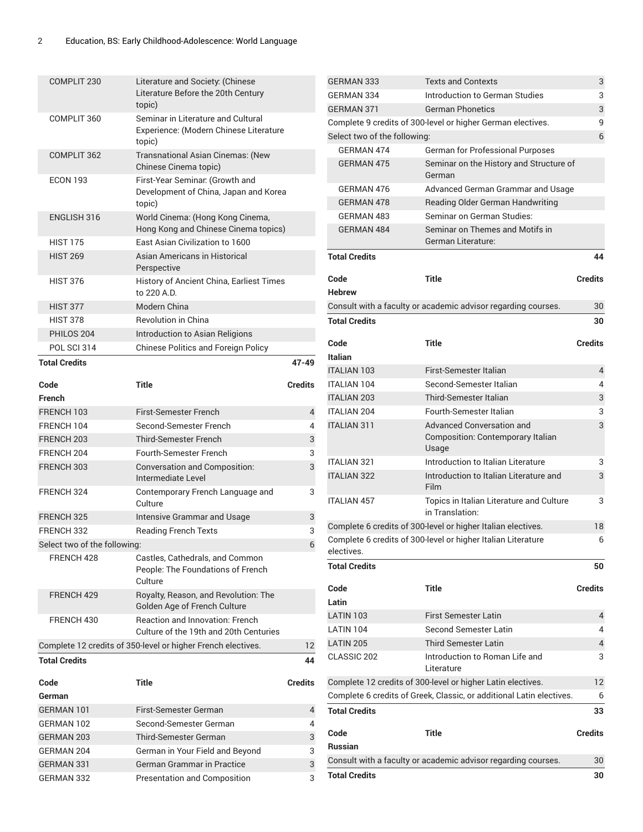| COMPLIT 230                  | Literature and Society: (Chinese<br>Literature Before the 20th Century<br>topic)       |                |
|------------------------------|----------------------------------------------------------------------------------------|----------------|
| COMPLIT 360                  | Seminar in Literature and Cultural<br>Experience: (Modern Chinese Literature<br>topic) |                |
| COMPLIT 362                  | <b>Transnational Asian Cinemas: (New</b><br>Chinese Cinema topic)                      |                |
| <b>ECON 193</b>              | First-Year Seminar: (Growth and<br>Development of China, Japan and Korea<br>topic)     |                |
| <b>ENGLISH 316</b>           | World Cinema: (Hong Kong Cinema,<br>Hong Kong and Chinese Cinema topics)               |                |
| <b>HIST 175</b>              | East Asian Civilization to 1600                                                        |                |
| <b>HIST 269</b>              | Asian Americans in Historical<br>Perspective                                           |                |
| <b>HIST 376</b>              | History of Ancient China, Earliest Times<br>to 220 A.D.                                |                |
| <b>HIST 377</b>              | Modern China                                                                           |                |
| <b>HIST 378</b>              | Revolution in China                                                                    |                |
| PHILOS 204                   | Introduction to Asian Religions                                                        |                |
| POL SCI 314                  | <b>Chinese Politics and Foreign Policy</b>                                             |                |
| <b>Total Credits</b>         |                                                                                        | $47 - 49$      |
| Code                         | Title                                                                                  | <b>Credits</b> |
| French                       |                                                                                        |                |
| FRENCH 103                   | First-Semester French                                                                  | 4              |
| FRENCH 104                   | Second-Semester French                                                                 | 4              |
| FRENCH 203                   | <b>Third-Semester French</b>                                                           | 3              |
| FRENCH 204                   | Fourth-Semester French                                                                 | 3              |
| FRENCH 303                   | Conversation and Composition:<br>Intermediate Level                                    | 3              |
| FRENCH 324                   | Contemporary French Language and<br>Culture                                            | 3              |
| FRENCH 325                   | Intensive Grammar and Usage                                                            | 3              |
| FRENCH 332                   | <b>Reading French Texts</b>                                                            | 3              |
| Select two of the following: |                                                                                        | 6              |
| FRENCH 428                   | Castles, Cathedrals, and Common<br>People: The Foundations of French<br>Culture        |                |
| FRENCH 429                   | Royalty, Reason, and Revolution: The<br>Golden Age of French Culture                   |                |
| FRENCH 430                   | <b>Reaction and Innovation: French</b><br>Culture of the 19th and 20th Centuries       |                |
|                              | Complete 12 credits of 350-level or higher French electives.                           | 12             |
| <b>Total Credits</b>         |                                                                                        | 44             |
| Code                         | Title                                                                                  | <b>Credits</b> |
| German                       |                                                                                        |                |
| GERMAN 101                   | First-Semester German                                                                  | 4              |
| GERMAN 102                   | Second-Semester German                                                                 | 4              |
| GERMAN 203                   | Third-Semester German                                                                  | 3              |
| GERMAN 204                   | German in Your Field and Beyond                                                        | 3              |
| GERMAN 331                   | German Grammar in Practice                                                             | 3              |
| GERMAN 332                   |                                                                                        |                |

| <b>GERMAN 333</b>            | <b>Texts and Contexts</b>                                            | 3              |
|------------------------------|----------------------------------------------------------------------|----------------|
| GERMAN 334                   | Introduction to German Studies                                       | 3              |
| <b>GERMAN 371</b>            | <b>German Phonetics</b>                                              | 3              |
|                              | Complete 9 credits of 300-level or higher German electives.          | 9              |
| Select two of the following: |                                                                      | 6              |
| GERMAN 474                   | German for Professional Purposes                                     |                |
| <b>GERMAN 475</b>            | Seminar on the History and Structure of<br>German                    |                |
| GERMAN 476                   | Advanced German Grammar and Usage                                    |                |
| <b>GERMAN 478</b>            | Reading Older German Handwriting                                     |                |
| <b>GERMAN 483</b>            | Seminar on German Studies:                                           |                |
| <b>GERMAN 484</b>            | Seminar on Themes and Motifs in<br>German Literature:                |                |
| <b>Total Credits</b>         |                                                                      | 44             |
| Code                         | <b>Title</b>                                                         | <b>Credits</b> |
| Hebrew                       |                                                                      |                |
|                              | Consult with a faculty or academic advisor regarding courses.        | 30             |
| <b>Total Credits</b>         |                                                                      | 30             |
| Code                         | <b>Title</b>                                                         | <b>Credits</b> |
| Italian                      |                                                                      |                |
| <b>ITALIAN 103</b>           | First-Semester Italian                                               | 4              |
| ITALIAN 104                  | Second-Semester Italian                                              | 4              |
| <b>ITALIAN 203</b>           | Third-Semester Italian                                               | 3              |
| <b>ITALIAN 204</b>           | <b>Fourth-Semester Italian</b>                                       | 3              |
| <b>ITALIAN 311</b>           | <b>Advanced Conversation and</b>                                     | 3              |
|                              | Composition: Contemporary Italian<br>Usage                           |                |
| <b>ITALIAN 321</b>           | Introduction to Italian Literature                                   | 3              |
| <b>ITALIAN 322</b>           | Introduction to Italian Literature and<br>Film                       | 3              |
| <b>ITALIAN 457</b>           | Topics in Italian Literature and Culture<br>in Translation:          | 3              |
|                              | Complete 6 credits of 300-level or higher Italian electives.         | 18             |
| electives.                   | Complete 6 credits of 300-level or higher Italian Literature         | 6              |
| Total Credits                |                                                                      | 50             |
| Code                         | Title                                                                | <b>Credits</b> |
| Latin                        |                                                                      |                |
| LATIN 103                    | <b>First Semester Latin</b>                                          | 4              |
| LATIN 104                    | <b>Second Semester Latin</b>                                         | 4              |
| <b>LATIN 205</b>             | Third Semester Latin                                                 | 4              |
| CLASSIC 202                  | Introduction to Roman Life and<br>Literature                         | 3              |
|                              |                                                                      |                |
|                              | Complete 12 credits of 300-level or higher Latin electives.          | 12             |
| <b>Total Credits</b>         | Complete 6 credits of Greek, Classic, or additional Latin electives. | 6<br>33        |
| Code                         | Title                                                                | <b>Credits</b> |
| Russian                      |                                                                      |                |
|                              | Consult with a faculty or academic advisor regarding courses.        | 30             |
| <b>Total Credits</b>         |                                                                      | 30             |
|                              |                                                                      |                |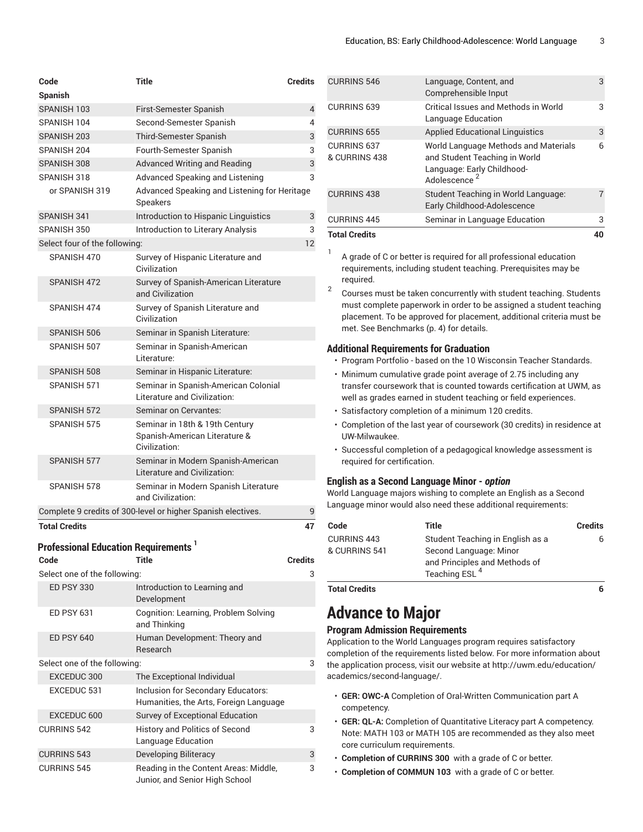| Code                          | <b>Title</b>                                                                     | <b>Credits</b> |
|-------------------------------|----------------------------------------------------------------------------------|----------------|
| <b>Spanish</b>                |                                                                                  |                |
| SPANISH 103                   | First-Semester Spanish                                                           | 4              |
| SPANISH 104                   | Second-Semester Spanish                                                          | 4              |
| SPANISH 203                   | <b>Third-Semester Spanish</b>                                                    | 3              |
| SPANISH 204                   | Fourth-Semester Spanish                                                          | 3              |
| SPANISH 308                   | <b>Advanced Writing and Reading</b>                                              | 3              |
| SPANISH 318                   | Advanced Speaking and Listening                                                  | 3              |
| or SPANISH 319                | Advanced Speaking and Listening for Heritage<br>Speakers                         |                |
| SPANISH 341                   | Introduction to Hispanic Linguistics                                             | 3              |
| SPANISH 350                   | <b>Introduction to Literary Analysis</b>                                         | 3              |
| Select four of the following: |                                                                                  | 12             |
| SPANISH 470                   | Survey of Hispanic Literature and<br>Civilization                                |                |
| SPANISH 472                   | Survey of Spanish-American Literature<br>and Civilization                        |                |
| SPANISH 474                   | Survey of Spanish Literature and<br>Civilization                                 |                |
| SPANISH 506                   | Seminar in Spanish Literature:                                                   |                |
| SPANISH 507                   | Seminar in Spanish-American<br>Literature:                                       |                |
| SPANISH 508                   | Seminar in Hispanic Literature:                                                  |                |
| SPANISH 571                   | Seminar in Spanish-American Colonial<br>Literature and Civilization:             |                |
| SPANISH 572                   | Seminar on Cervantes:                                                            |                |
| SPANISH 575                   | Seminar in 18th & 19th Century<br>Spanish-American Literature &<br>Civilization: |                |
| SPANISH 577                   | Seminar in Modern Spanish-American<br>Literature and Civilization:               |                |
| SPANISH 578                   | Seminar in Modern Spanish Literature<br>and Civilization:                        |                |
|                               | Complete 9 credits of 300-level or higher Spanish electives.                     | 9              |
| <b>Total Credits</b>          |                                                                                  | 47             |

### **Professional Education Requirements 1**

| Code                         | Title                                                                        | <b>Credits</b> |
|------------------------------|------------------------------------------------------------------------------|----------------|
| Select one of the following: |                                                                              | 3              |
| <b>ED PSY 330</b>            | Introduction to Learning and<br>Development                                  |                |
| <b>ED PSY 631</b>            | Cognition: Learning, Problem Solving<br>and Thinking                         |                |
| <b>ED PSY 640</b>            | Human Development: Theory and<br>Research                                    |                |
| Select one of the following: |                                                                              | 3              |
| EXCEDUC 300                  | The Exceptional Individual                                                   |                |
| EXCEDUC 531                  | Inclusion for Secondary Educators:<br>Humanities, the Arts, Foreign Language |                |
| EXCEDUC 600                  | Survey of Exceptional Education                                              |                |
| <b>CURRINS 542</b>           | <b>History and Politics of Second</b><br>Language Education                  | 3              |
| <b>CURRINS 543</b>           | <b>Developing Biliteracy</b>                                                 | 3              |
| <b>CURRINS 545</b>           | Reading in the Content Areas: Middle,<br>Junior, and Senior High School      | 3              |

| <b>Total Credits</b>                |                                                                                                                                 | 40             |
|-------------------------------------|---------------------------------------------------------------------------------------------------------------------------------|----------------|
| <b>CURRINS 445</b>                  | Seminar in Language Education                                                                                                   | 3              |
| <b>CURRINS 438</b>                  | Student Teaching in World Language:<br>Early Childhood-Adolescence                                                              | $\overline{7}$ |
| <b>CURRINS 637</b><br>& CURRINS 438 | World Language Methods and Materials<br>and Student Teaching in World<br>Language: Early Childhood-<br>Adolescence <sup>2</sup> | 6              |
| <b>CURRINS 655</b>                  | <b>Applied Educational Linguistics</b>                                                                                          | 3              |
| <b>CURRINS 639</b>                  | Critical Issues and Methods in World<br>Language Education                                                                      | 3              |
| <b>CURRINS 546</b>                  | Language, Content, and<br>Comprehensible Input                                                                                  | 3              |

A grade of C or better is required for all professional education requirements, including student teaching. Prerequisites may be required.

2 Courses must be taken concurrently with student teaching. Students must complete paperwork in order to be assigned a student teaching placement. To be approved for placement, additional criteria must be met. See [Benchmarks](#page-3-0) ([p. 4\)](#page-3-0) for details.

#### **Additional Requirements for Graduation**

- Program Portfolio based on the 10 Wisconsin Teacher Standards.
- Minimum cumulative grade point average of 2.75 including any transfer coursework that is counted towards certification at UWM, as well as grades earned in student teaching or field experiences.
- Satisfactory completion of a minimum 120 credits.
- Completion of the last year of coursework (30 credits) in residence at UW-Milwaukee.
- Successful completion of a pedagogical knowledge assessment is required for certification.

#### **English as a Second Language Minor -** *option*

World Language majors wishing to complete an English as a Second Language minor would also need these additional requirements:

| Code<br>Title                                                                                                                                                   | Credits |
|-----------------------------------------------------------------------------------------------------------------------------------------------------------------|---------|
| <b>CURRINS 443</b><br>Student Teaching in English as a<br>& CURRINS 541<br>Second Language: Minor<br>and Principles and Methods of<br>Teaching ESL <sup>4</sup> | 6.      |

**Total Credits 6**

1

## <span id="page-2-0"></span>**Advance to Major**

### **Program Admission Requirements**

Application to the World Languages program requires satisfactory completion of the requirements listed below. For more information about the application process, visit our website at [http://uwm.edu/education/](http://uwm.edu/education/academics/second-language/) [academics/second-language/.](http://uwm.edu/education/academics/second-language/)

- **GER: OWC-A** Completion of Oral-Written Communication part A competency.
- **GER: QL-A:** Completion of Quantitative Literacy part A competency. Note: MATH 103 or MATH 105 are recommended as they also meet core curriculum requirements.
- **Completion of CURRINS 300** with a grade of C or better.
- **Completion of COMMUN 103** with a grade of C or better.